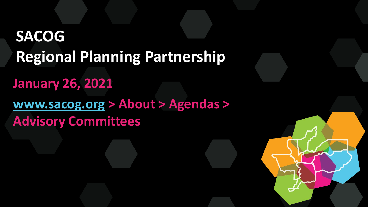## **SACOG Regional Planning Partnership January 26, 2021 [www.sacog.org](http://www.sacog.org/) > About > Agendas > Advisory Committees**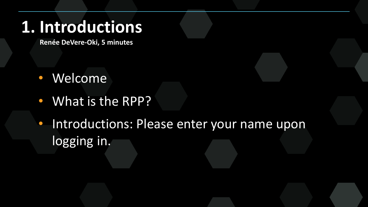### **1. Introductions**

**Renée DeVere-Oki, 5 minutes**

- Welcome
- What is the RPP?
- Introductions: Please enter your name upon logging in.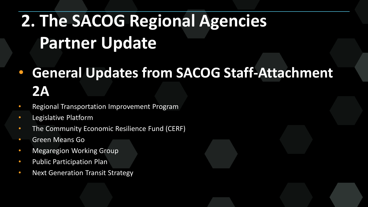# **2. The SACOG Regional Agencies Partner Update**

- **General Updates from SACOG Staff-Attachment 2A**
- Regional Transportation Improvement Program
- Legislative Platform
- The Community Economic Resilience Fund (CERF)
- Green Means Go
- Megaregion Working Group
- Public Participation Plan
- Next Generation Transit Strategy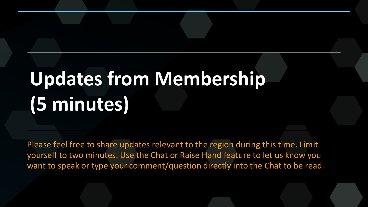# **Updates from Membership (5 minutes)**

Please feel free to share updates relevant to the region during this time. Limit yourself to two minutes. Use the Chat or Raise Hand feature to let us know you want to speak or type your comment/question directly into the Chat to be read.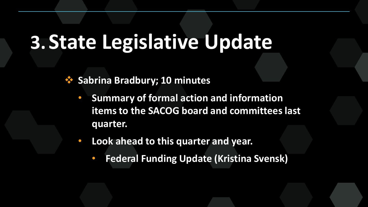## **3. State Legislative Update**

*<b>❖* Sabrina Bradbury; 10 minutes

- **Summary of formal action and information items to the SACOG board and committees last quarter.**
- **Look ahead to this quarter and year.** 
	- **Federal Funding Update (Kristina Svensk)**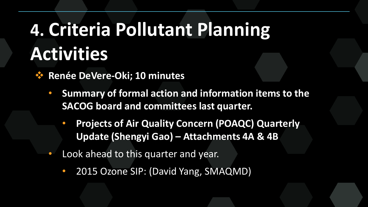# **4. Criteria Pollutant Planning Activities**

**Renée DeVere-Oki; 10 minutes** 

- **Summary of formal action and information items to the SACOG board and committees last quarter.**
	- **Projects of Air Quality Concern (POAQC) Quarterly Update (Shengyi Gao) – Attachments 4A & 4B**
- Look ahead to this quarter and year.
	- 2015 Ozone SIP: (David Yang, SMAQMD)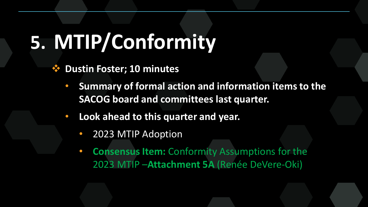# **5. MTIP/Conformity**

- **❖ Dustin Foster; 10 minutes** 
	- **Summary of formal action and information items to the SACOG board and committees last quarter.**
	- **Look ahead to this quarter and year.** 
		- 2023 MTIP Adoption
		- **Consensus Item:** Conformity Assumptions for the 2023 MTIP –**Attachment 5A** (Renée DeVere-Oki)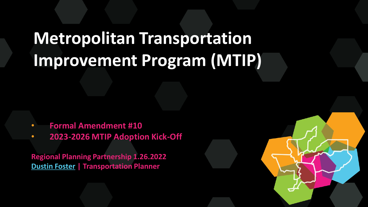## **Metropolitan Transportation Improvement Program (MTIP)**

- **Formal Amendment #10**
- **2023-2026 MTIP Adoption Kick-Off**

**Regional Planning Partnership 1.26.2022 [Dustin Foster](mailto:dfoster@sacog.org) | Transportation Planner**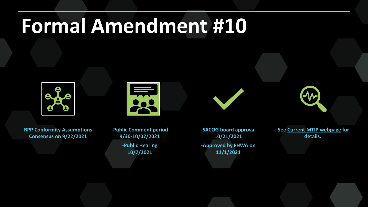# **Formal Amendment #10**



**RPP Conformity Assumptions Consensus on 9/22/2021**

**-Public Comment period 9/30-10/07/2021 -Public Hearing 10/7/2021**

**-SACOG board approval 10/21/2021 -Approved by FHWA on 11/1/2021**

**See [Current MTIP webpage](https://www.sacog.org/current-2021-24-mtip) for details.**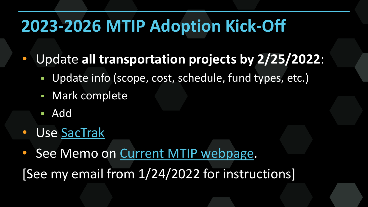### **2023-2026 MTIP Adoption Kick-Off**

• Update **all transportation projects by 2/25/2022**:

- Update info (scope, cost, schedule, fund types, etc.)
- Mark complete
- Add
- Use [SacTrak](https://sactrak.sacog.org/default.asp?)
- See Memo on [Current MTIP webpage.](https://www.sacog.org/current-2021-24-mtip) [See my email from 1/24/2022 for instructions]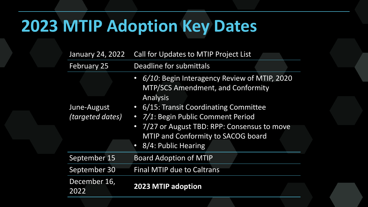### **2023 MTIP Adoption Key Dates**

| January 24, 2022        | Call for Updates to MTIP Project List                                                                         |
|-------------------------|---------------------------------------------------------------------------------------------------------------|
| <b>February 25</b>      | Deadline for submittals                                                                                       |
|                         | • 6/10: Begin Interagency Review of MTIP, 2020<br><b>MTP/SCS Amendment, and Conformity</b><br><b>Analysis</b> |
| June-August             | • 6/15: Transit Coordinating Committee                                                                        |
| <i>(targeted dates)</i> | • 7/1: Begin Public Comment Period                                                                            |
|                         | • 7/27 or August TBD: RPP: Consensus to move<br>MTIP and Conformity to SACOG board                            |
|                         | • 8/4: Public Hearing                                                                                         |
| September 15            | <b>Board Adoption of MTIP</b>                                                                                 |
| September 30            | <b>Final MTIP due to Caltrans</b>                                                                             |
| December 16,<br>2022    | 2023 MTIP adoption                                                                                            |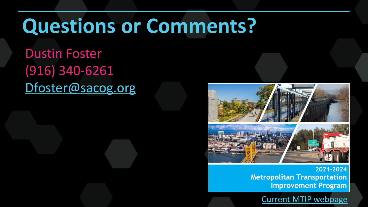# **Questions or Comments?**

Dustin Foster (916) 340-6261 [Dfoster@sacog.org](mailto:Dfoster@sacog.org)



2021-2024 **Metropolitan Transportation Improvement Program** 

[Current MTIP webpage](https://www.sacog.org/current-2021-24-mtip)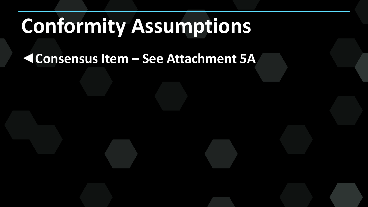# **Conformity Assumptions**

◄**Consensus Item – See Attachment 5A**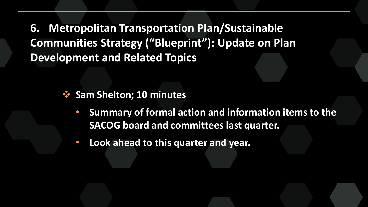**6. Metropolitan Transportation Plan/Sustainable Communities Strategy ("Blueprint"): Update on Plan Development and Related Topics**

- *<b>❖* Sam Shelton; 10 minutes
	- **Summary of formal action and information items to the SACOG board and committees last quarter.**
	- **Look ahead to this quarter and year.**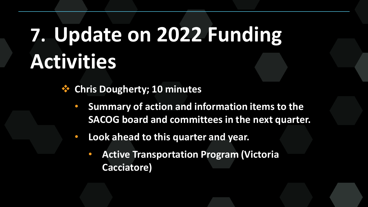# **7. Update on 2022 Funding Activities**

**Chris Dougherty; 10 minutes**

- **Summary of action and information items to the SACOG board and committees in the next quarter.**
- **Look ahead to this quarter and year.** 
	- **Active Transportation Program (Victoria Cacciatore)**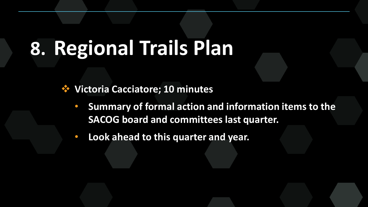# **8. Regional Trails Plan**

**Victoria Cacciatore; 10 minutes**

• **Summary of formal action and information items to the SACOG board and committees last quarter.** 

• **Look ahead to this quarter and year.**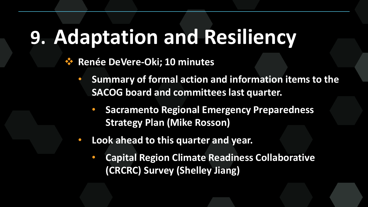# **9. Adaptation and Resiliency**

#### **Renée DeVere-Oki; 10 minutes**

- **Summary of formal action and information items to the SACOG board and committees last quarter.** 
	- **Sacramento Regional Emergency Preparedness Strategy Plan (Mike Rosson)**
- **Look ahead to this quarter and year.** 
	- **Capital Region Climate Readiness Collaborative (CRCRC) Survey (Shelley Jiang)**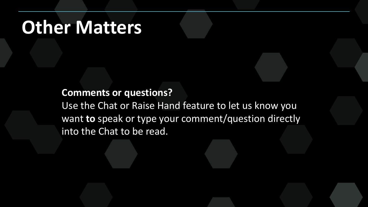#### **Other Matters**

#### **Comments or questions?**

Use the Chat or Raise Hand feature to let us know you want **to** speak or type your comment/question directly into the Chat to be read.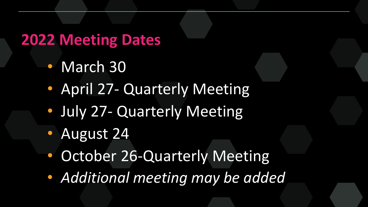#### **2022 Meeting Dates**

- March 30
- April 27- Quarterly Meeting
- July 27- Quarterly Meeting
- August 24
- October 26-Quarterly Meeting
- *Additional meeting may be added*